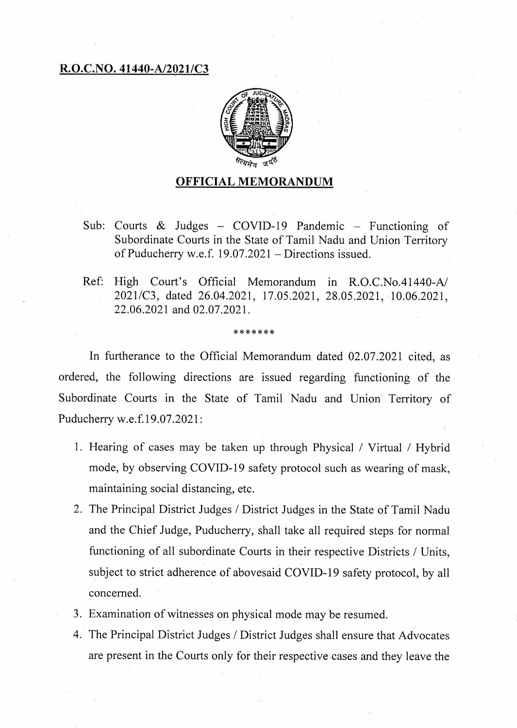## **R.O.C.NO. 41440-A/2021/C3**



## **OFFICIAL MEMORANDUM**

- Sub: Courts  $\&$  Judges COVID-19 Pandemic Functioning of Subordinate Courts in the State of Tamil Nadu and Union Territory of Puducherry w.e.f. 19.07.2021 — Directions issued.
- Ref: High Court's Official Memorandum in R.O.C.No.41440-A/ 2021/C3, dated 26.04.2021, 17.05.2021, 28.05.2021, 10.06.2021, 22.06.2021 and 02.07.2021.

## \*\*\*\*\*\*\*

In furtherance to the Official Memorandum dated 02.07.2021 cited, as ordered, the following directions are issued regarding functioning of the Subordinate Courts in the State of Tamil Nadu and Union Territory of Puducherry w.e.f.19.07.2021:

- 1. Hearing of cases may be taken up through Physical / Virtual / Hybrid mode, by observing COVID-19 safety protocol such as wearing of mask, maintaining social distancing, etc.
- 2. The Principal District Judges / District Judges in the State of Tamil Nadu and the Chief Judge, Puducherry, shall take all required steps for normal functioning of all subordinate Courts in their respective Districts / Units, subject to strict adherence of abovesaid COVID-19 safety protocol, by all concerned.
- Examination of witnesses on physical mode may be resumed.
- The Principal District Judges / District Judges shall ensure that Advocates are present in the Courts only for their respective cases and they leave the